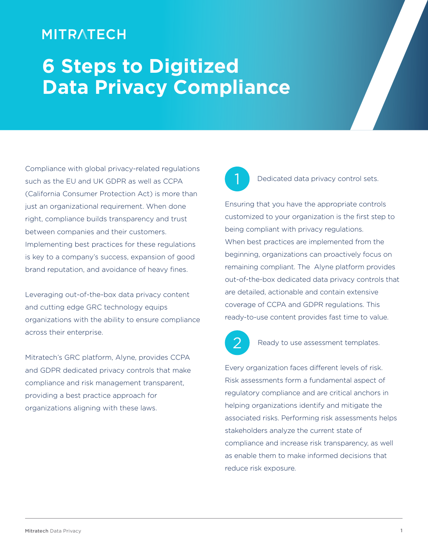# **MITRATECH**

# **6 Steps to Digitized Data Privacy Compliance**

Compliance with global privacy-related regulations such as the EU and UK GDPR as well as CCPA (California Consumer Protection Act) is more than just an organizational requirement. When done right, compliance builds transparency and trust between companies and their customers. Implementing best practices for these regulations is key to a company's success, expansion of good brand reputation, and avoidance of heavy fines.

Leveraging out-of-the-box data privacy content and cutting edge GRC technology equips organizations with the ability to ensure compliance across their enterprise.

Mitratech's GRC platform, Alyne, provides CCPA and GDPR dedicated privacy controls that make compliance and risk management transparent, providing a best practice approach for organizations aligning with these laws.

1

## Dedicated data privacy control sets.

Ensuring that you have the appropriate controls customized to your organization is the first step to being compliant with privacy regulations. When best practices are implemented from the beginning, organizations can proactively focus on remaining compliant. The Alyne platform provides out-of-the-box dedicated data privacy controls that are detailed, actionable and contain extensive coverage of CCPA and GDPR regulations. This ready-to-use content provides fast time to value.



Ready to use assessment templates.

Every organization faces different levels of risk. Risk assessments form a fundamental aspect of regulatory compliance and are critical anchors in helping organizations identify and mitigate the associated risks. Performing risk assessments helps stakeholders analyze the current state of compliance and increase risk transparency, as well as enable them to make informed decisions that reduce risk exposure.